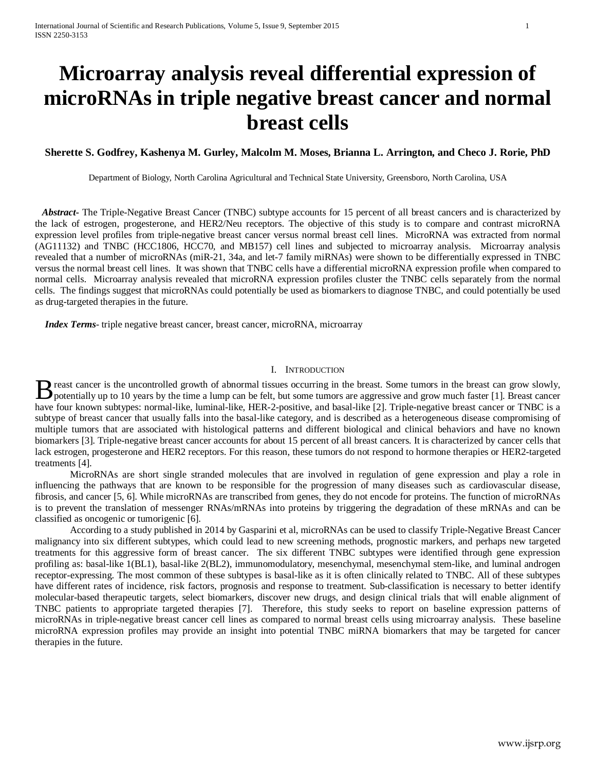# **Microarray analysis reveal differential expression of microRNAs in triple negative breast cancer and normal breast cells**

# **Sherette S. Godfrey, Kashenya M. Gurley, Malcolm M. Moses, Brianna L. Arrington, and Checo J. Rorie, PhD**

Department of Biology, North Carolina Agricultural and Technical State University, Greensboro, North Carolina, USA

 *Abstract***-** The Triple-Negative Breast Cancer (TNBC) subtype accounts for 15 percent of all breast cancers and is characterized by the lack of estrogen, progesterone, and HER2/Neu receptors. The objective of this study is to compare and contrast microRNA expression level profiles from triple-negative breast cancer versus normal breast cell lines. MicroRNA was extracted from normal (AG11132) and TNBC (HCC1806, HCC70, and MB157) cell lines and subjected to microarray analysis. Microarray analysis revealed that a number of microRNAs (miR-21, 34a, and let-7 family miRNAs) were shown to be differentially expressed in TNBC versus the normal breast cell lines. It was shown that TNBC cells have a differential microRNA expression profile when compared to normal cells. Microarray analysis revealed that microRNA expression profiles cluster the TNBC cells separately from the normal cells. The findings suggest that microRNAs could potentially be used as biomarkers to diagnose TNBC, and could potentially be used as drug-targeted therapies in the future.

 *Index Terms*- triple negative breast cancer, breast cancer, microRNA, microarray

## I. INTRODUCTION

reast cancer is the uncontrolled growth of abnormal tissues occurring in the breast. Some tumors in the breast can grow slowly, **D** reast cancer is the uncontrolled growth of abnormal tissues occurring in the breast. Some tumors in the breast can grow slowly, potentially up to 10 years by the time a lump can be felt, but some tumors are aggressive have four known subtypes: normal-like, luminal-like, HER-2-positive, and basal-like [2]. Triple-negative breast cancer or TNBC is a subtype of breast cancer that usually falls into the basal-like category, and is described as a heterogeneous disease compromising of multiple tumors that are associated with histological patterns and different biological and clinical behaviors and have no known biomarkers [3]. Triple-negative breast cancer accounts for about 15 percent of all breast cancers. It is characterized by cancer cells that lack estrogen, progesterone and HER2 receptors. For this reason, these tumors do not respond to hormone therapies or HER2-targeted treatments [4].

MicroRNAs are short single stranded molecules that are involved in regulation of gene expression and play a role in influencing the pathways that are known to be responsible for the progression of many diseases such as cardiovascular disease, fibrosis, and cancer [5, 6]. While microRNAs are transcribed from genes, they do not encode for proteins. The function of microRNAs is to prevent the translation of messenger RNAs/mRNAs into proteins by triggering the degradation of these mRNAs and can be classified as oncogenic or tumorigenic [6].

According to a study published in 2014 by Gasparini et al, microRNAs can be used to classify Triple-Negative Breast Cancer malignancy into six different subtypes, which could lead to new screening methods, prognostic markers, and perhaps new targeted treatments for this aggressive form of breast cancer. The six different TNBC subtypes were identified through gene expression profiling as: basal-like 1(BL1), basal-like 2(BL2), immunomodulatory, mesenchymal, mesenchymal stem-like, and luminal androgen receptor-expressing. The most common of these subtypes is basal-like as it is often clinically related to TNBC. All of these subtypes have different rates of incidence, risk factors, prognosis and response to treatment. Sub-classification is necessary to better identify molecular-based therapeutic targets, select biomarkers, discover new drugs, and design clinical trials that will enable alignment of TNBC patients to appropriate targeted therapies [7]. Therefore, this study seeks to report on baseline expression patterns of microRNAs in triple-negative breast cancer cell lines as compared to normal breast cells using microarray analysis. These baseline microRNA expression profiles may provide an insight into potential TNBC miRNA biomarkers that may be targeted for cancer therapies in the future.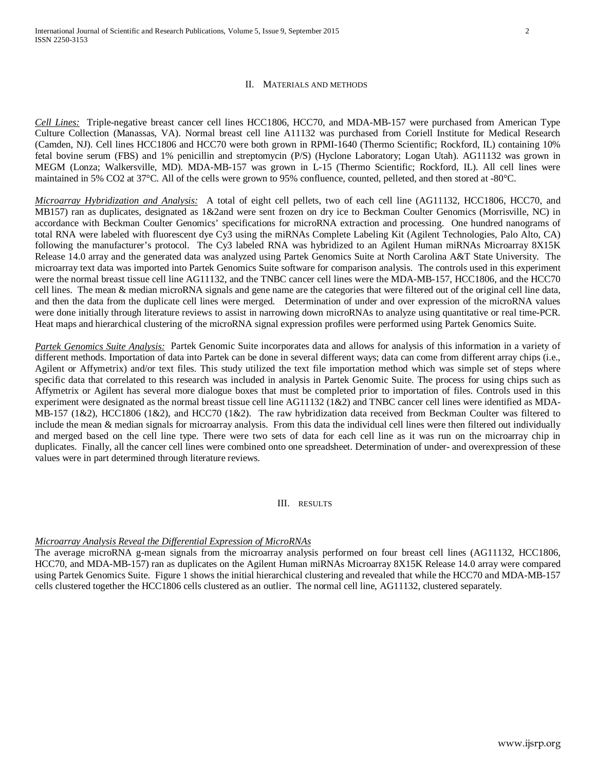## II. MATERIALS AND METHODS

*Cell Lines:* Triple-negative breast cancer cell lines HCC1806, HCC70, and MDA-MB-157 were purchased from American Type Culture Collection (Manassas, VA). Normal breast cell line A11132 was purchased from Coriell Institute for Medical Research (Camden, NJ). Cell lines HCC1806 and HCC70 were both grown in RPMI-1640 (Thermo Scientific; Rockford, IL) containing 10% fetal bovine serum (FBS) and 1% penicillin and streptomycin (P/S) (Hyclone Laboratory; Logan Utah). AG11132 was grown in MEGM (Lonza; Walkersville, MD). MDA-MB-157 was grown in L-15 (Thermo Scientific; Rockford, IL). All cell lines were maintained in 5% CO2 at 37°C. All of the cells were grown to 95% confluence, counted, pelleted, and then stored at -80°C.

*Microarray Hybridization and Analysis:* A total of eight cell pellets, two of each cell line (AG11132, HCC1806, HCC70, and MB157) ran as duplicates, designated as 1&2and were sent frozen on dry ice to Beckman Coulter Genomics (Morrisville, NC) in accordance with Beckman Coulter Genomics' specifications for microRNA extraction and processing. One hundred nanograms of total RNA were labeled with fluorescent dye Cy3 using the miRNAs Complete Labeling Kit (Agilent Technologies, Palo Alto, CA) following the manufacturer's protocol. The Cy3 labeled RNA was hybridized to an Agilent Human miRNAs Microarray 8X15K Release 14.0 array and the generated data was analyzed using Partek Genomics Suite at North Carolina A&T State University. The microarray text data was imported into Partek Genomics Suite software for comparison analysis. The controls used in this experiment were the normal breast tissue cell line AG11132, and the TNBC cancer cell lines were the MDA-MB-157, HCC1806, and the HCC70 cell lines. The mean & median microRNA signals and gene name are the categories that were filtered out of the original cell line data, and then the data from the duplicate cell lines were merged. Determination of under and over expression of the microRNA values were done initially through literature reviews to assist in narrowing down microRNAs to analyze using quantitative or real time-PCR. Heat maps and hierarchical clustering of the microRNA signal expression profiles were performed using Partek Genomics Suite.

*Partek Genomics Suite Analysis:* Partek Genomic Suite incorporates data and allows for analysis of this information in a variety of different methods. Importation of data into Partek can be done in several different ways; data can come from different array chips (i.e., Agilent or Affymetrix) and/or text files. This study utilized the text file importation method which was simple set of steps where specific data that correlated to this research was included in analysis in Partek Genomic Suite. The process for using chips such as Affymetrix or Agilent has several more dialogue boxes that must be completed prior to importation of files. Controls used in this experiment were designated as the normal breast tissue cell line AG11132 (1&2) and TNBC cancer cell lines were identified as MDA-MB-157 (1&2), HCC1806 (1&2), and HCC70 (1&2). The raw hybridization data received from Beckman Coulter was filtered to include the mean & median signals for microarray analysis. From this data the individual cell lines were then filtered out individually and merged based on the cell line type. There were two sets of data for each cell line as it was run on the microarray chip in duplicates. Finally, all the cancer cell lines were combined onto one spreadsheet. Determination of under- and overexpression of these values were in part determined through literature reviews.

III. RESULTS

## *Microarray Analysis Reveal the Differential Expression of MicroRNAs*

The average microRNA g-mean signals from the microarray analysis performed on four breast cell lines (AG11132, HCC1806, HCC70, and MDA-MB-157) ran as duplicates on the Agilent Human miRNAs Microarray 8X15K Release 14.0 array were compared using Partek Genomics Suite. Figure 1 shows the initial hierarchical clustering and revealed that while the HCC70 and MDA-MB-157 cells clustered together the HCC1806 cells clustered as an outlier. The normal cell line, AG11132, clustered separately.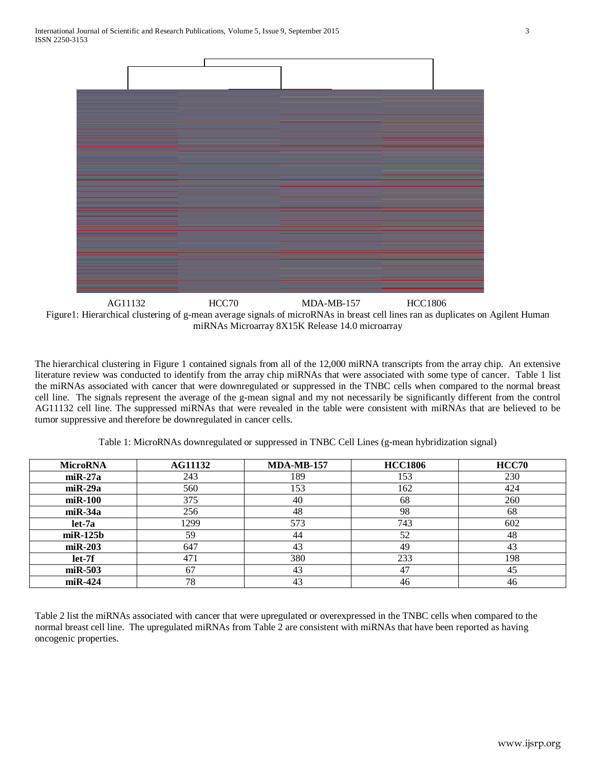

Figure1: Hierarchical clustering of g-mean average signals of microRNAs in breast cell lines ran as duplicates on Agilent Human miRNAs Microarray 8X15K Release 14.0 microarray AG11132 HCC70 MDA-MB-157 HCC1806

The hierarchical clustering in Figure 1 contained signals from all of the 12,000 miRNA transcripts from the array chip. An extensive literature review was conducted to identify from the array chip miRNAs that were associated with some type of cancer. Table 1 list the miRNAs associated with cancer that were downregulated or suppressed in the TNBC cells when compared to the normal breast cell line. The signals represent the average of the g-mean signal and my not necessarily be significantly different from the control AG11132 cell line. The suppressed miRNAs that were revealed in the table were consistent with miRNAs that are believed to be tumor suppressive and therefore be downregulated in cancer cells.

| <b>MicroRNA</b> | <b>AG11132</b> | <b>MDA-MB-157</b> | <b>HCC1806</b> | HCC70 |
|-----------------|----------------|-------------------|----------------|-------|
| $m$ i R $-27a$  | 243            | 189               | 153            | 230   |
| $miR-29a$       | 560            | 153               | 162            | 424   |
| $m$ i $R-100$   | 375            | 40                | 68             | 260   |
| $m$ i R $-34a$  | 256            | 48                | 98             | 68    |
| $let-7a$        | 1299           | 573               | 743            | 602   |
| $m$ i R $-125b$ | 59             | 44                | 52             | 48    |
| $miR-203$       | 647            | 43                | 49             | 43    |
| let-7f          | 471            | 380               | 233            | 198   |
| $miR-503$       | 67             | 43                | 47             | 45    |
| $m$ i R $-424$  | 78             | 43                | 46             | 46    |

Table 1: MicroRNAs downregulated or suppressed in TNBC Cell Lines (g-mean hybridization signal)

Table 2 list the miRNAs associated with cancer that were upregulated or overexpressed in the TNBC cells when compared to the normal breast cell line. The upregulated miRNAs from Table 2 are consistent with miRNAs that have been reported as having oncogenic properties.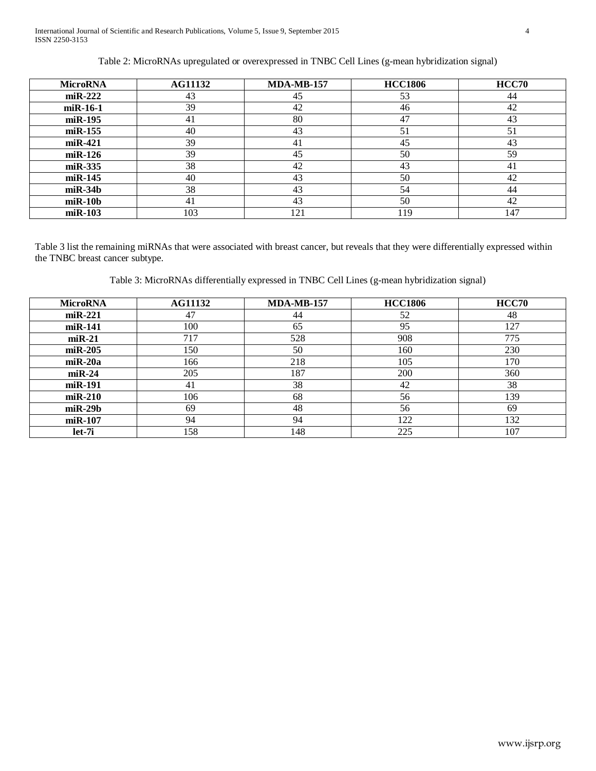# Table 2: MicroRNAs upregulated or overexpressed in TNBC Cell Lines (g-mean hybridization signal)

| <b>MicroRNA</b> | <b>AG11132</b> | <b>MDA-MB-157</b> | <b>HCC1806</b> | <b>HCC70</b> |
|-----------------|----------------|-------------------|----------------|--------------|
| $miR-222$       | 43             | 45                | 53             | 44           |
| $miR-16-1$      | 39             | 42                | 46             | 42           |
| miR-195         | 41             | 80                | 47             | 43           |
| $m$ i R $-155$  | 40             | 43                | 51             | 51           |
| $m$ i R $-421$  | 39             | 41                | 45             | 43           |
| $m$ i R $-126$  | 39             | 45                | 50             | 59           |
| $miR-335$       | 38             | 42                | 43             | -41          |
| $m$ i R $-145$  | 40             | 43                | 50             | 42           |
| $m$ i R $-34b$  | 38             | 43                | 54             | 44           |
| $m$ i R $-10b$  | 41             | 43                | 50             | 42           |
| $m$ i R $-103$  | 103            | 121               | 119            | 147          |

Table 3 list the remaining miRNAs that were associated with breast cancer, but reveals that they were differentially expressed within the TNBC breast cancer subtype.

Table 3: MicroRNAs differentially expressed in TNBC Cell Lines (g-mean hybridization signal)

| <b>MicroRNA</b> | <b>AG11132</b> | $MDA-MB-157$ | <b>HCC1806</b> | HCC70 |
|-----------------|----------------|--------------|----------------|-------|
| $m$ i R $-221$  | 47             | 44           | 52             | 48    |
| $m$ i R $-141$  | 100            | 65           | 95             | 127   |
| $miR-21$        | 717            | 528          | 908            | 775   |
| $miR-205$       | 150            | 50           | 160            | 230   |
| $m$ i R $-20a$  | 166            | 218          | 105            | 170   |
| $miR-24$        | 205            | 187          | 200            | 360   |
| miR-191         | 41             | 38           | 42             | 38    |
| $m$ i R $-210$  | 106            | 68           | 56             | 139   |
| $m$ i R $-29b$  | 69             | 48           | 56             | 69    |
| $m$ i R $-107$  | 94             | 94           | 122            | 132   |
| let-7i          | 158            | 148          | 225            | 107   |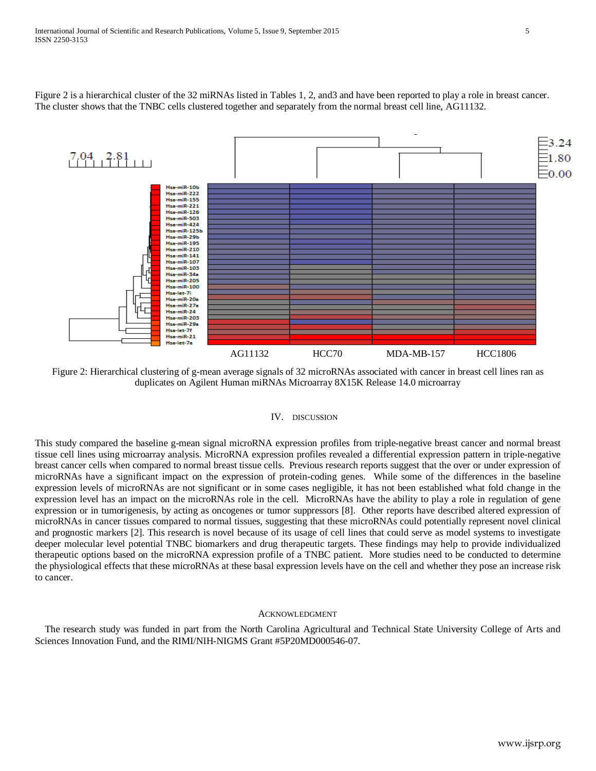Figure 2 is a hierarchical cluster of the 32 miRNAs listed in Tables 1, 2, and3 and have been reported to play a role in breast cancer. The cluster shows that the TNBC cells clustered together and separately from the normal breast cell line, AG11132.



Figure 2: Hierarchical clustering of g-mean average signals of 32 microRNAs associated with cancer in breast cell lines ran as duplicates on Agilent Human miRNAs Microarray 8X15K Release 14.0 microarray

## IV. DISCUSSION

This study compared the baseline g-mean signal microRNA expression profiles from triple-negative breast cancer and normal breast tissue cell lines using microarray analysis. MicroRNA expression profiles revealed a differential expression pattern in triple-negative breast cancer cells when compared to normal breast tissue cells. Previous research reports suggest that the over or under expression of microRNAs have a significant impact on the expression of protein-coding genes. While some of the differences in the baseline expression levels of microRNAs are not significant or in some cases negligible, it has not been established what fold change in the expression level has an impact on the microRNAs role in the cell. MicroRNAs have the ability to play a role in regulation of gene expression or in tumorigenesis, by acting as oncogenes or tumor suppressors [8]. Other reports have described altered expression of microRNAs in cancer tissues compared to normal tissues, suggesting that these microRNAs could potentially represent novel clinical and prognostic markers [2]. This research is novel because of its usage of cell lines that could serve as model systems to investigate deeper molecular level potential TNBC biomarkers and drug therapeutic targets. These findings may help to provide individualized therapeutic options based on the microRNA expression profile of a TNBC patient. More studies need to be conducted to determine the physiological effects that these microRNAs at these basal expression levels have on the cell and whether they pose an increase risk to cancer.

#### ACKNOWLEDGMENT

The research study was funded in part from the North Carolina Agricultural and Technical State University College of Arts and Sciences Innovation Fund, and the RIMI/NIH-NIGMS Grant #5P20MD000546-07.